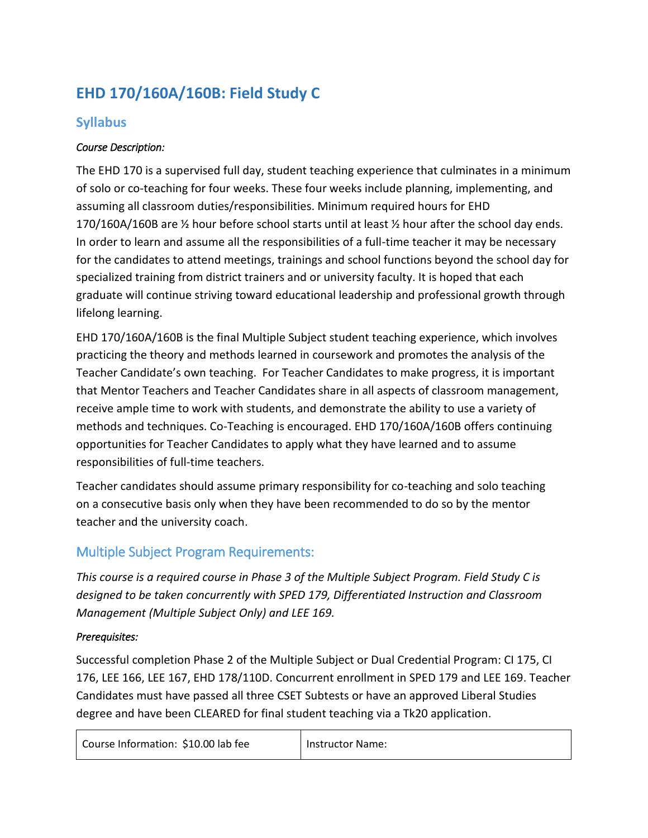# **EHD 170/160A/160B: Field Study C**

# **Syllabus**

## *Course Description:*

The EHD 170 is a supervised full day, student teaching experience that culminates in a minimum of solo or co-teaching for four weeks. These four weeks include planning, implementing, and assuming all classroom duties/responsibilities. Minimum required hours for EHD 170/160A/160B are ½ hour before school starts until at least ½ hour after the school day ends. In order to learn and assume all the responsibilities of a full-time teacher it may be necessary for the candidates to attend meetings, trainings and school functions beyond the school day for specialized training from district trainers and or university faculty. It is hoped that each graduate will continue striving toward educational leadership and professional growth through lifelong learning.

EHD 170/160A/160B is the final Multiple Subject student teaching experience, which involves practicing the theory and methods learned in coursework and promotes the analysis of the Teacher Candidate's own teaching. For Teacher Candidates to make progress, it is important that Mentor Teachers and Teacher Candidates share in all aspects of classroom management, receive ample time to work with students, and demonstrate the ability to use a variety of methods and techniques. Co-Teaching is encouraged. EHD 170/160A/160B offers continuing opportunities for Teacher Candidates to apply what they have learned and to assume responsibilities of full-time teachers.

Teacher candidates should assume primary responsibility for co-teaching and solo teaching on a consecutive basis only when they have been recommended to do so by the mentor teacher and the university coach.

# Multiple Subject Program Requirements:

*This course is a required course in Phase 3 of the Multiple Subject Program. Field Study C is designed to be taken concurrently with SPED 179, Differentiated Instruction and Classroom Management (Multiple Subject Only) and LEE 169.* 

#### *Prerequisites:*

Successful completion Phase 2 of the Multiple Subject or Dual Credential Program: CI 175, CI 176, LEE 166, LEE 167, EHD 178/110D. Concurrent enrollment in SPED 179 and LEE 169. Teacher Candidates must have passed all three CSET Subtests or have an approved Liberal Studies degree and have been CLEARED for final student teaching via a Tk20 application.

| Course Information: \$10.00 lab fee |  |
|-------------------------------------|--|
|-------------------------------------|--|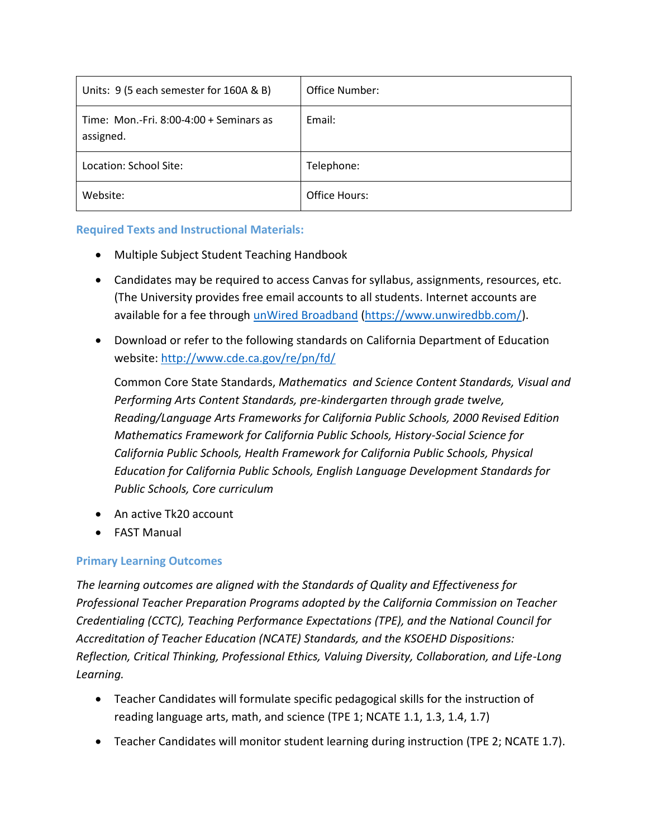| Units: 9 (5 each semester for 160A & B)               | Office Number: |
|-------------------------------------------------------|----------------|
| Time: Mon.-Fri. $8:00-4:00+$ Seminars as<br>assigned. | Email:         |
| Location: School Site:                                | Telephone:     |
| Website:                                              | Office Hours:  |

#### **Required Texts and Instructional Materials:**

- Multiple Subject Student Teaching Handbook
- Candidates may be required to access Canvas for syllabus, assignments, resources, etc. (The University provides free email accounts to all students. Internet accounts are available for a fee through [unWired Broadband](https://www.unwiredbb.com/) [\(https://www.unwiredbb.com/\)](https://www.unwiredbb.com/).
- Download or refer to the following standards on California Department of Education website:<http://www.cde.ca.gov/re/pn/fd/>

Common Core State Standards, *Mathematics and Science Content Standards, Visual and Performing Arts Content Standards, pre-kindergarten through grade twelve, Reading/Language Arts Frameworks for California Public Schools, 2000 Revised Edition Mathematics Framework for California Public Schools, History-Social Science for California Public Schools, Health Framework for California Public Schools, Physical Education for California Public Schools, English Language Development Standards for Public Schools, Core curriculum*

- An active Tk20 account
- FAST Manual

#### **Primary Learning Outcomes**

*The learning outcomes are aligned with the Standards of Quality and Effectiveness for Professional Teacher Preparation Programs adopted by the California Commission on Teacher Credentialing (CCTC), Teaching Performance Expectations (TPE), and the National Council for Accreditation of Teacher Education (NCATE) Standards, and the KSOEHD Dispositions: Reflection, Critical Thinking, Professional Ethics, Valuing Diversity, Collaboration, and Life-Long Learning.*

- Teacher Candidates will formulate specific pedagogical skills for the instruction of reading language arts, math, and science (TPE 1; NCATE 1.1, 1.3, 1.4, 1.7)
- Teacher Candidates will monitor student learning during instruction (TPE 2; NCATE 1.7).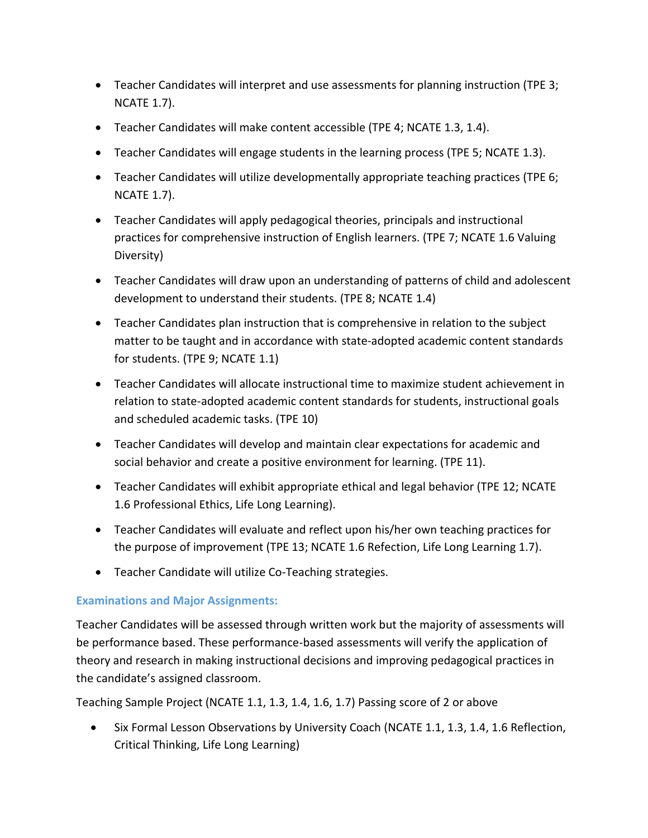- Teacher Candidates will interpret and use assessments for planning instruction (TPE 3; NCATE 1.7).
- Teacher Candidates will make content accessible (TPE 4; NCATE 1.3, 1.4).
- Teacher Candidates will engage students in the learning process (TPE 5; NCATE 1.3).
- Teacher Candidates will utilize developmentally appropriate teaching practices (TPE 6; NCATE 1.7).
- Teacher Candidates will apply pedagogical theories, principals and instructional practices for comprehensive instruction of English learners. (TPE 7; NCATE 1.6 Valuing Diversity)
- Teacher Candidates will draw upon an understanding of patterns of child and adolescent development to understand their students. (TPE 8; NCATE 1.4)
- Teacher Candidates plan instruction that is comprehensive in relation to the subject matter to be taught and in accordance with state-adopted academic content standards for students. (TPE 9; NCATE 1.1)
- Teacher Candidates will allocate instructional time to maximize student achievement in relation to state-adopted academic content standards for students, instructional goals and scheduled academic tasks. (TPE 10)
- Teacher Candidates will develop and maintain clear expectations for academic and social behavior and create a positive environment for learning. (TPE 11).
- Teacher Candidates will exhibit appropriate ethical and legal behavior (TPE 12; NCATE 1.6 Professional Ethics, Life Long Learning).
- Teacher Candidates will evaluate and reflect upon his/her own teaching practices for the purpose of improvement (TPE 13; NCATE 1.6 Refection, Life Long Learning 1.7).
- Teacher Candidate will utilize Co-Teaching strategies.

## **Examinations and Major Assignments:**

Teacher Candidates will be assessed through written work but the majority of assessments will be performance based. These performance-based assessments will verify the application of theory and research in making instructional decisions and improving pedagogical practices in the candidate's assigned classroom.

Teaching Sample Project (NCATE 1.1, 1.3, 1.4, 1.6, 1.7) Passing score of 2 or above

 Six Formal Lesson Observations by University Coach (NCATE 1.1, 1.3, 1.4, 1.6 Reflection, Critical Thinking, Life Long Learning)